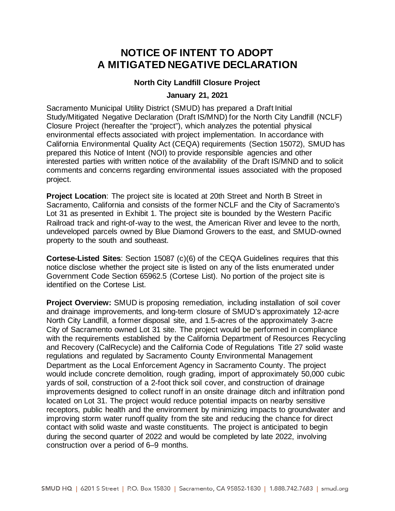## **NOTICE OF INTENT TO ADOPT A MITIGATED NEGATIVE DECLARATION**

## **North City Landfill Closure Project**

## **January 21, 2021**

Sacramento Municipal Utility District (SMUD) has prepared a Draft Initial Study/Mitigated Negative Declaration (Draft IS/MND) for the North City Landfill (NCLF) Closure Project (hereafter the "project"), which analyzes the potential physical environmental effects associated with project implementation. In accordance with California Environmental Quality Act (CEQA) requirements (Section 15072), SMUD has prepared this Notice of Intent (NOI) to provide responsible agencies and other interested parties with written notice of the availability of the Draft IS/MND and to solicit comments and concerns regarding environmental issues associated with the proposed project.

**Project Location**: The project site is located at 20th Street and North B Street in Sacramento, California and consists of the former NCLF and the City of Sacramento's Lot 31 as presented in Exhibit 1. The project site is bounded by the Western Pacific Railroad track and right-of-way to the west, the American River and levee to the north, undeveloped parcels owned by Blue Diamond Growers to the east, and SMUD-owned property to the south and southeast.

**Cortese-Listed Sites**: Section 15087 (c)(6) of the CEQA Guidelines requires that this notice disclose whether the project site is listed on any of the lists enumerated under Government Code Section 65962.5 (Cortese List). No portion of the project site is identified on the Cortese List.

**Project Overview:** SMUD is proposing remediation, including installation of soil cover and drainage improvements, and long-term closure of SMUD's approximately 12-acre North City Landfill, a former disposal site, and 1.5-acres of the approximately 3-acre City of Sacramento owned Lot 31 site. The project would be performed in compliance with the requirements established by the California Department of Resources Recycling and Recovery (CalRecycle) and the California Code of Regulations Title 27 solid waste regulations and regulated by Sacramento County Environmental Management Department as the Local Enforcement Agency in Sacramento County. The project would include concrete demolition, rough grading, import of approximately 50,000 cubic yards of soil, construction of a 2-foot thick soil cover, and construction of drainage improvements designed to collect runoff in an onsite drainage ditch and infiltration pond located on Lot 31. The project would reduce potential impacts on nearby sensitive receptors, public health and the environment by minimizing impacts to groundwater and improving storm water runoff quality from the site and reducing the chance for direct contact with solid waste and waste constituents. The project is anticipated to begin during the second quarter of 2022 and would be completed by late 2022, involving construction over a period of 6–9 months.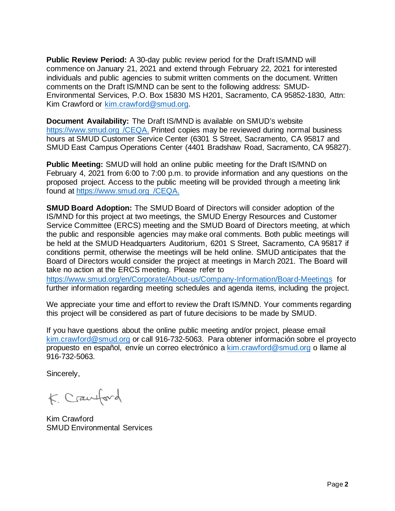**Public Review Period:** A 30-day public review period for the Draft IS/MND will commence on January 21, 2021 and extend through February 22, 2021 for interested individuals and public agencies to submit written comments on the document. Written comments on the Draft IS/MND can be sent to the following address: SMUD-Environmental Services, P.O. Box 15830 MS H201, Sacramento, CA 95852-1830, Attn: Kim Crawford or [kim.crawford@smud.org.](mailto:kim.crawford@smud.org)

**Document Availability:** The Draft IS/MND is available on SMUD's website https://www.smud.org /CEQA. Printed copies may be reviewed during normal business hours at SMUD Customer Service Center (6301 S Street, Sacramento, CA 95817 and SMUD East Campus Operations Center (4401 Bradshaw Road, Sacramento, CA 95827).

**Public Meeting:** SMUD will hold an online public meeting for the Draft IS/MND on February 4, 2021 from 6:00 to 7:00 p.m. to provide information and any questions on the proposed project. Access to the public meeting will be provided through a meeting link found at https://www.smud.org /CEQA.

**SMUD Board Adoption:** The SMUD Board of Directors will consider adoption of the IS/MND for this project at two meetings, the SMUD Energy Resources and Customer Service Committee (ERCS) meeting and the SMUD Board of Directors meeting, at which the public and responsible agencies may make oral comments. Both public meetings will be held at the SMUD Headquarters Auditorium, 6201 S Street, Sacramento, CA 95817 if conditions permit, otherwise the meetings will be held online. SMUD anticipates that the Board of Directors would consider the project at meetings in March 2021. The Board will take no action at the ERCS meeting. Please refer to

<https://www.smud.org/en/Corporate/About-us/Company-Information/Board-Meetings> for further information regarding meeting schedules and agenda items, including the project.

We appreciate your time and effort to review the Draft IS/MND. Your comments regarding this project will be considered as part of future decisions to be made by SMUD.

If you have questions about the online public meeting and/or project, please email [kim.crawford@smud.org](mailto:kim.crawford@smud.org) or call 916-732-5063. Para obtener información sobre el proyecto propuesto en español, envíe un correo electrónico a [kim.crawford@smud.org](mailto:kim.crawford@smud.org) o llame al 916-732-5063.

Sincerely,

K. Crawford

Kim Crawford SMUD Environmental Services